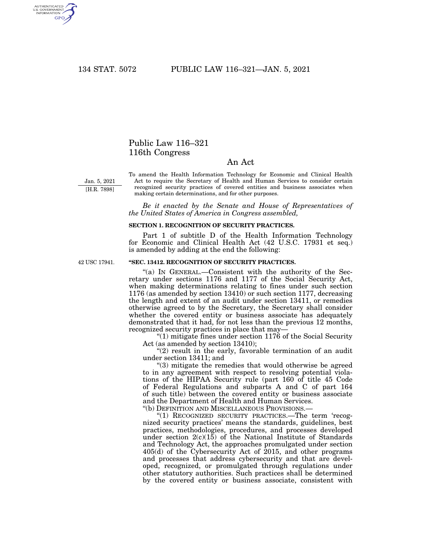AUTHENTICATED<br>U.S. GOVERNMENT<br>INFORMATION GPO

# Public Law 116–321 116th Congress

## An Act

Jan. 5, 2021 [H.R. 7898] To amend the Health Information Technology for Economic and Clinical Health Act to require the Secretary of Health and Human Services to consider certain recognized security practices of covered entities and business associates when making certain determinations, and for other purposes.

*Be it enacted by the Senate and House of Representatives of the United States of America in Congress assembled,* 

### **SECTION 1. RECOGNITION OF SECURITY PRACTICES.**

Part 1 of subtitle D of the Health Information Technology for Economic and Clinical Health Act (42 U.S.C. 17931 et seq.) is amended by adding at the end the following:

42 USC 17941.

#### **''SEC. 13412. RECOGNITION OF SECURITY PRACTICES.**

''(a) IN GENERAL.—Consistent with the authority of the Secretary under sections 1176 and 1177 of the Social Security Act, when making determinations relating to fines under such section 1176 (as amended by section 13410) or such section 1177, decreasing the length and extent of an audit under section 13411, or remedies otherwise agreed to by the Secretary, the Secretary shall consider whether the covered entity or business associate has adequately demonstrated that it had, for not less than the previous 12 months, recognized security practices in place that may—

 $''(1)$  mitigate fines under section 1176 of the Social Security Act (as amended by section 13410);

"(2) result in the early, favorable termination of an audit under section 13411; and

''(3) mitigate the remedies that would otherwise be agreed to in any agreement with respect to resolving potential violations of the HIPAA Security rule (part 160 of title 45 Code of Federal Regulations and subparts A and C of part 164 of such title) between the covered entity or business associate and the Department of Health and Human Services.

"(b) DEFINITION AND MISCELLANEOUS PROVISIONS.-

"(1) RECOGNIZED SECURITY PRACTICES.—The term 'recognized security practices' means the standards, guidelines, best practices, methodologies, procedures, and processes developed under section  $2(c)(15)$  of the National Institute of Standards and Technology Act, the approaches promulgated under section 405(d) of the Cybersecurity Act of 2015, and other programs and processes that address cybersecurity and that are developed, recognized, or promulgated through regulations under other statutory authorities. Such practices shall be determined by the covered entity or business associate, consistent with